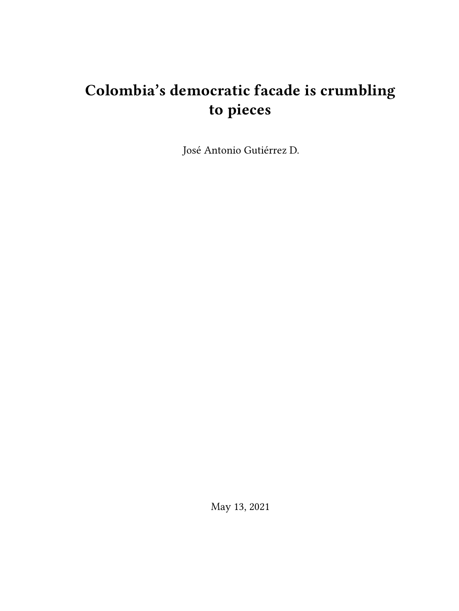# **Colombia's democratic facade is crumbling to pieces**

José Antonio Gutiérrez D.

May 13, 2021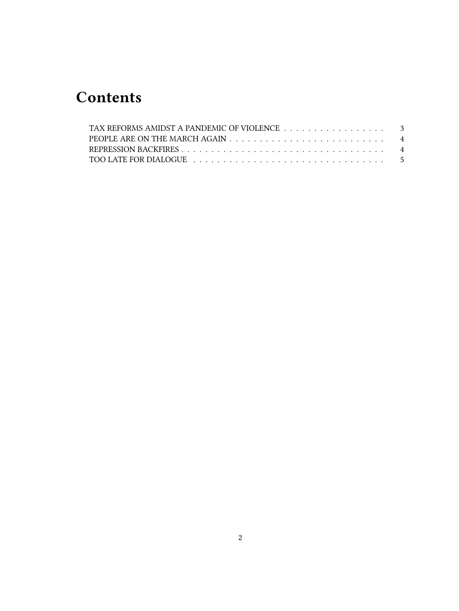## **Contents**

| TAX REFORMS AMIDST A PANDEMIC OF VIOLENCE 3 |  |
|---------------------------------------------|--|
|                                             |  |
|                                             |  |
|                                             |  |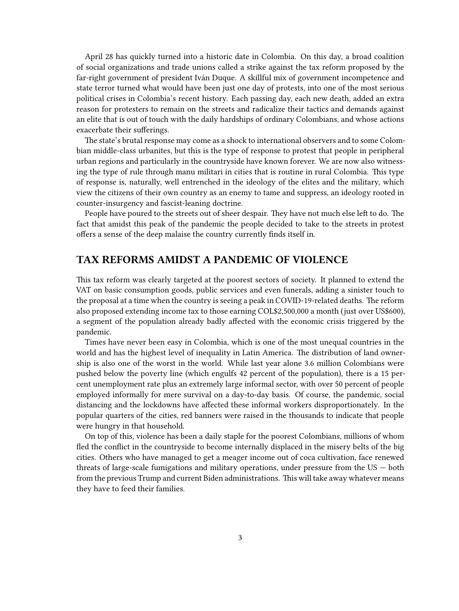April 28 has quickly turned into a historic date in Colombia. On this day, a broad coalition of social organizations and trade unions called a strike against the tax reform proposed by the far-right government of president Iván Duque. A skillful mix of government incompetence and state terror turned what would have been just one day of protests, into one of the most serious political crises in Colombia's recent history. Each passing day, each new death, added an extra reason for protesters to remain on the streets and radicalize their tactics and demands against an elite that is out of touch with the daily hardships of ordinary Colombians, and whose actions exacerbate their sufferings.

The state's brutal response may come as a shock to international observers and to some Colombian middle-class urbanites, but this is the type of response to protest that people in peripheral urban regions and particularly in the countryside have known forever. We are now also witnessing the type of rule through manu militari in cities that is routine in rural Colombia. This type of response is, naturally, well entrenched in the ideology of the elites and the military, which view the citizens of their own country as an enemy to tame and suppress, an ideology rooted in counter-insurgency and fascist-leaning doctrine.

People have poured to the streets out of sheer despair. They have not much else left to do. The fact that amidst this peak of the pandemic the people decided to take to the streets in protest offers a sense of the deep malaise the country currently finds itself in.

#### <span id="page-2-0"></span>**TAX REFORMS AMIDST A PANDEMIC OF VIOLENCE**

This tax reform was clearly targeted at the poorest sectors of society. It planned to extend the VAT on basic consumption goods, public services and even funerals, adding a sinister touch to the proposal at a time when the country is seeing a peak in COVID-19-related deaths. The reform also proposed extending income tax to those earning COL\$2,500,000 a month (just over US\$600), a segment of the population already badly affected with the economic crisis triggered by the pandemic.

Times have never been easy in Colombia, which is one of the most unequal countries in the world and has the highest level of inequality in Latin America. The distribution of land ownership is also one of the worst in the world. While last year alone 3.6 million Colombians were pushed below the poverty line (which engulfs 42 percent of the population), there is a 15 percent unemployment rate plus an extremely large informal sector, with over 50 percent of people employed informally for mere survival on a day-to-day basis. Of course, the pandemic, social distancing and the lockdowns have affected these informal workers disproportionately. In the popular quarters of the cities, red banners were raised in the thousands to indicate that people were hungry in that household.

On top of this, violence has been a daily staple for the poorest Colombians, millions of whom fled the conflict in the countryside to become internally displaced in the misery belts of the big cities. Others who have managed to get a meager income out of coca cultivation, face renewed threats of large-scale fumigations and military operations, under pressure from the US — both from the previous Trump and current Biden administrations. This will take away whatever means they have to feed their families.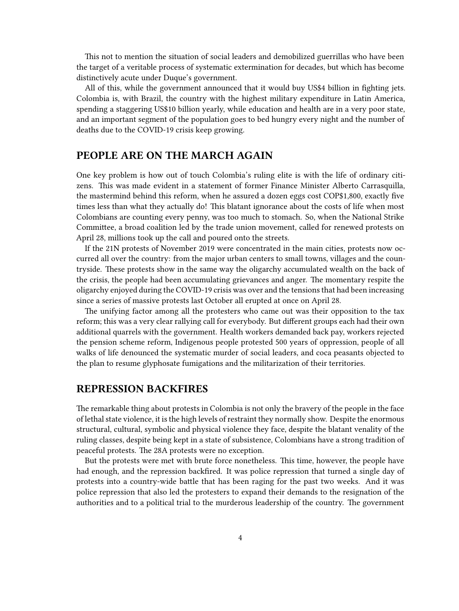This not to mention the situation of social leaders and demobilized guerrillas who have been the target of a veritable process of systematic extermination for decades, but which has become distinctively acute under Duque's government.

All of this, while the government announced that it would buy US\$4 billion in fighting jets. Colombia is, with Brazil, the country with the highest military expenditure in Latin America, spending a staggering US\$10 billion yearly, while education and health are in a very poor state, and an important segment of the population goes to bed hungry every night and the number of deaths due to the COVID-19 crisis keep growing.

#### <span id="page-3-0"></span>**PEOPLE ARE ON THE MARCH AGAIN**

One key problem is how out of touch Colombia's ruling elite is with the life of ordinary citizens. This was made evident in a statement of former Finance Minister Alberto Carrasquilla, the mastermind behind this reform, when he assured a dozen eggs cost COP\$1,800, exactly five times less than what they actually do! This blatant ignorance about the costs of life when most Colombians are counting every penny, was too much to stomach. So, when the National Strike Committee, a broad coalition led by the trade union movement, called for renewed protests on April 28, millions took up the call and poured onto the streets.

If the 21N protests of November 2019 were concentrated in the main cities, protests now occurred all over the country: from the major urban centers to small towns, villages and the countryside. These protests show in the same way the oligarchy accumulated wealth on the back of the crisis, the people had been accumulating grievances and anger. The momentary respite the oligarchy enjoyed during the COVID-19 crisis was over and the tensions that had been increasing since a series of massive protests last October all erupted at once on April 28.

The unifying factor among all the protesters who came out was their opposition to the tax reform; this was a very clear rallying call for everybody. But different groups each had their own additional quarrels with the government. Health workers demanded back pay, workers rejected the pension scheme reform, Indigenous people protested 500 years of oppression, people of all walks of life denounced the systematic murder of social leaders, and coca peasants objected to the plan to resume glyphosate fumigations and the militarization of their territories.

#### <span id="page-3-1"></span>**REPRESSION BACKFIRES**

The remarkable thing about protests in Colombia is not only the bravery of the people in the face of lethal state violence, it is the high levels of restraint they normally show. Despite the enormous structural, cultural, symbolic and physical violence they face, despite the blatant venality of the ruling classes, despite being kept in a state of subsistence, Colombians have a strong tradition of peaceful protests. The 28A protests were no exception.

But the protests were met with brute force nonetheless. This time, however, the people have had enough, and the repression backfired. It was police repression that turned a single day of protests into a country-wide battle that has been raging for the past two weeks. And it was police repression that also led the protesters to expand their demands to the resignation of the authorities and to a political trial to the murderous leadership of the country. The government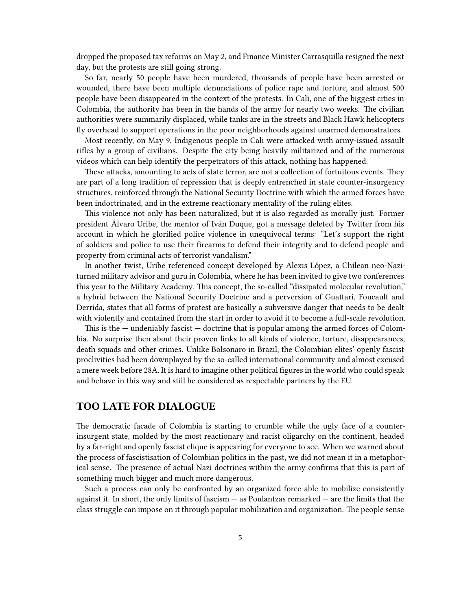dropped the proposed tax reforms on May 2, and Finance Minister Carrasquilla resigned the next day, but the protests are still going strong.

So far, nearly 50 people have been murdered, thousands of people have been arrested or wounded, there have been multiple denunciations of police rape and torture, and almost 500 people have been disappeared in the context of the protests. In Cali, one of the biggest cities in Colombia, the authority has been in the hands of the army for nearly two weeks. The civilian authorities were summarily displaced, while tanks are in the streets and Black Hawk helicopters fly overhead to support operations in the poor neighborhoods against unarmed demonstrators.

Most recently, on May 9, Indigenous people in Cali were attacked with army-issued assault rifles by a group of civilians. Despite the city being heavily militarized and of the numerous videos which can help identify the perpetrators of this attack, nothing has happened.

These attacks, amounting to acts of state terror, are not a collection of fortuitous events. They are part of a long tradition of repression that is deeply entrenched in state counter-insurgency structures, reinforced through the National Security Doctrine with which the armed forces have been indoctrinated, and in the extreme reactionary mentality of the ruling elites.

This violence not only has been naturalized, but it is also regarded as morally just. Former president Álvaro Uribe, the mentor of Iván Duque, got a message deleted by Twitter from his account in which he glorified police violence in unequivocal terms: "Let's support the right of soldiers and police to use their firearms to defend their integrity and to defend people and property from criminal acts of terrorist vandalism."

In another twist, Uribe referenced concept developed by Alexis López, a Chilean neo-Naziturned military advisor and guru in Colombia, where he has been invited to give two conferences this year to the Military Academy. This concept, the so-called "dissipated molecular revolution," a hybrid between the National Security Doctrine and a perversion of Guattari, Foucault and Derrida, states that all forms of protest are basically a subversive danger that needs to be dealt with violently and contained from the start in order to avoid it to become a full-scale revolution.

This is the  $-$  undeniably fascist  $-$  doctrine that is popular among the armed forces of Colombia. No surprise then about their proven links to all kinds of violence, torture, disappearances, death squads and other crimes. Unlike Bolsonaro in Brazil, the Colombian elites' openly fascist proclivities had been downplayed by the so-called international community and almost excused a mere week before 28A. It is hard to imagine other political figures in the world who could speak and behave in this way and still be considered as respectable partners by the EU.

### <span id="page-4-0"></span>**TOO LATE FOR DIALOGUE**

The democratic facade of Colombia is starting to crumble while the ugly face of a counterinsurgent state, molded by the most reactionary and racist oligarchy on the continent, headed by a far-right and openly fascist clique is appearing for everyone to see. When we warned about the process of fascistisation of Colombian politics in the past, we did not mean it in a metaphorical sense. The presence of actual Nazi doctrines within the army confirms that this is part of something much bigger and much more dangerous.

Such a process can only be confronted by an organized force able to mobilize consistently against it. In short, the only limits of fascism — as Poulantzas remarked — are the limits that the class struggle can impose on it through popular mobilization and organization. The people sense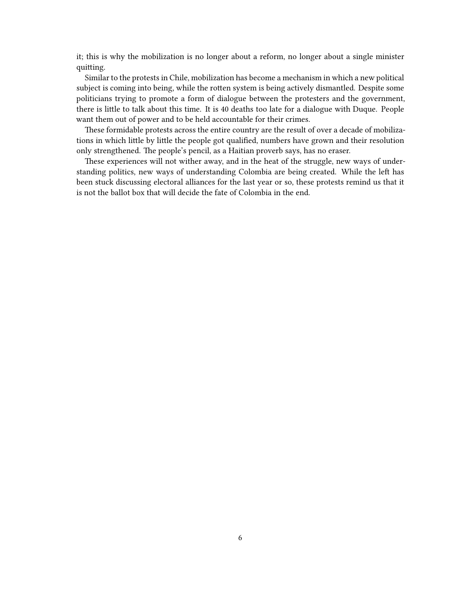it; this is why the mobilization is no longer about a reform, no longer about a single minister quitting.

Similar to the protests in Chile, mobilization has become a mechanism in which a new political subject is coming into being, while the rotten system is being actively dismantled. Despite some politicians trying to promote a form of dialogue between the protesters and the government, there is little to talk about this time. It is 40 deaths too late for a dialogue with Duque. People want them out of power and to be held accountable for their crimes.

These formidable protests across the entire country are the result of over a decade of mobilizations in which little by little the people got qualified, numbers have grown and their resolution only strengthened. The people's pencil, as a Haitian proverb says, has no eraser.

These experiences will not wither away, and in the heat of the struggle, new ways of understanding politics, new ways of understanding Colombia are being created. While the left has been stuck discussing electoral alliances for the last year or so, these protests remind us that it is not the ballot box that will decide the fate of Colombia in the end.